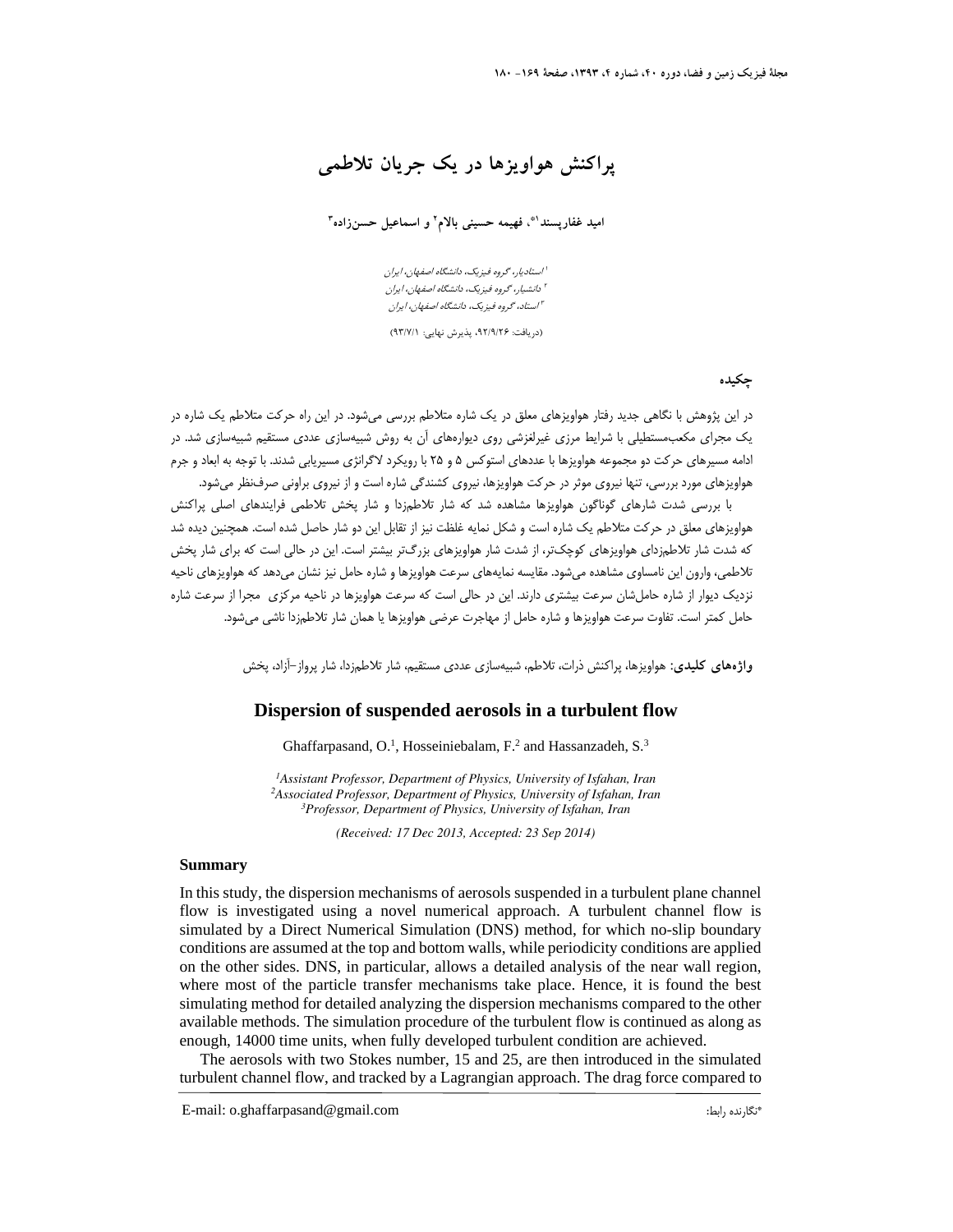**پراكنش هواويزها در يك جريان تلاطمي** 

 **<sup>3</sup> و اسماعيل حسنزاده <sup>2</sup> ، فهيمه حسيني بالام 1\* اميد غفارپسند**

استاديار، گروه فيزيك، دانشگاه اصفهان، ايران <sup>1</sup> دانشيار، گروه فيزيك، دانشگاه اصفهان، ايران <sup>2</sup> استاد، گروه فيزيك، دانشگاه اصفهان، ايران <sup>3</sup>

(دريافت: ،92/9/26 پذيرش نهايي: 93/7/1)

**چكيده**

در اين پژوهش با نگاهي جديد رفتار هواويزهاي معلق در يك شاره متلاطم بررسي ميشود. در اين راه حركت متلاطم يك شاره در يك مجراي مكعبمستطيلي با شرايط مرزي غيرلغزشي روي ديوارههاي آن به روش شبيهسازي عددي مستقيم شبيهسازي شد. در ادامه مسيرهاي حركت دو مجموعه هواويزها با عددهاي استوكس 5 و 25 با رويكرد لاگرانژي مسيريابي شدند. با توجه به ابعاد و جرم هواويزهاي مورد بررسي، تنها نيروي موثر در حركت هواويزها، نيروي كشندگي شاره است و از نيروي براوني صرفنظر ميشود.

با بررسي شدت شارهاي گوناگون هواويزها مشاهده شد كه شار تلاطمزدا و شار پخش تلاطمي فرايندهاي اصلي پراكنش هواويزهاي معلق در حركت متلاطم يك شاره است و شكل نمايه غلظت نيز از تقابل اين دو شار حاصل شده است. همچنين ديده شد كه شدت شار تلاطمزداي هواويزهاي كوچكتر، از شدت شار هواويزهاي بزرگتر بيشتر است. اين در حالي است كه براي شار پخش تلاطمي، وارون اين نامساوي مشاهده ميشود. مقايسه نمايههاي سرعت هواويزها و شاره حامل نيز نشان ميدهد كه هواويزهاي ناحيه نزديك ديوار از شاره حاملشان سرعت بيشتري دارند. اين در حالي است كه سرعت هواويزها در ناحيه مركزي مجرا از سرعت شاره حامل كمتر است. تفاوت سرعت هواويزها و شاره حامل از مهاجرت عرضي هواويزها يا همان شار تلاطمزدا ناشي ميشود.

**واژههاي كليدي:** هواويزها، پراكنش ذرات، تلاطم، شبيهسازي عددي مستقيم، شار تلاطمزدا، شار پرواز-آزاد، پخش

### **Dispersion of suspended aerosols in a turbulent flow**

Ghaffarpasand, O.<sup>1</sup>, Hosseiniebalam, F.<sup>2</sup> and Hassanzadeh, S.<sup>3</sup>

<sup>1</sup> Assistant Professor, Department of Physics, University of Isfahan, Iran <sup>2</sup> Associated Professor, Department of Physics, University of Isfahan, Iran *Professor, Department of Physics, University of Isfahan, Iran* 

*(Received: 17 Dec 2013, Accepted: 23 Sep 2014)*

#### **Summary**

In this study, the dispersion mechanisms of aerosols suspended in a turbulent plane channel flow is investigated using a novel numerical approach. A turbulent channel flow is simulated by a Direct Numerical Simulation (DNS) method, for which no-slip boundary conditions are assumed at the top and bottom walls, while periodicity conditions are applied on the other sides. DNS, in particular, allows a detailed analysis of the near wall region, where most of the particle transfer mechanisms take place. Hence, it is found the best simulating method for detailed analyzing the dispersion mechanisms compared to the other available methods. The simulation procedure of the turbulent flow is continued as along as enough, 14000 time units, when fully developed turbulent condition are achieved.

The aerosols with two Stokes number, 15 and 25, are then introduced in the simulated turbulent channel flow, and tracked by a Lagrangian approach. The drag force compared to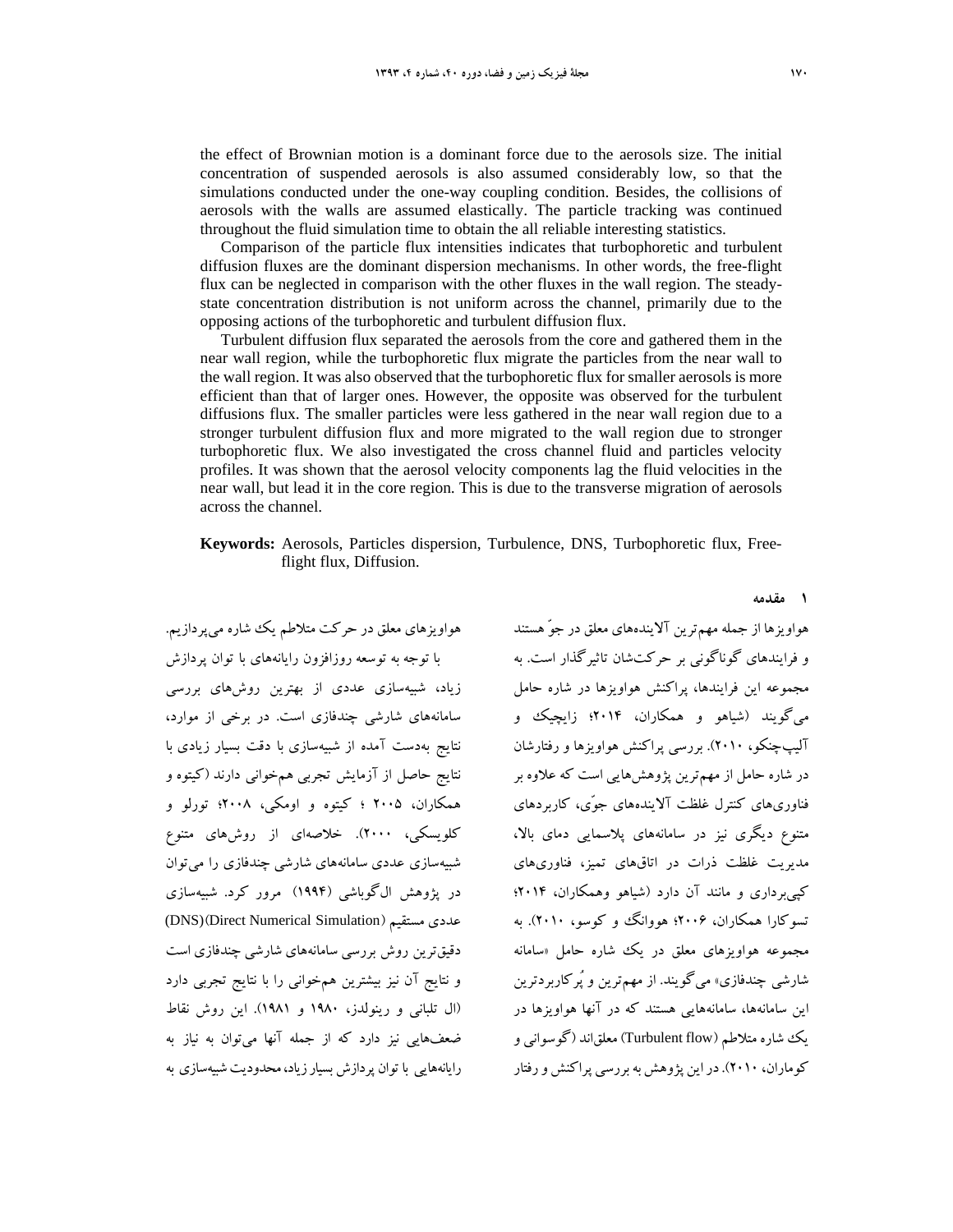the effect of Brownian motion is a dominant force due to the aerosols size. The initial concentration of suspended aerosols is also assumed considerably low, so that the simulations conducted under the one-way coupling condition. Besides, the collisions of aerosols with the walls are assumed elastically. The particle tracking was continued throughout the fluid simulation time to obtain the all reliable interesting statistics.

Comparison of the particle flux intensities indicates that turbophoretic and turbulent diffusion fluxes are the dominant dispersion mechanisms. In other words, the free-flight flux can be neglected in comparison with the other fluxes in the wall region. The steadystate concentration distribution is not uniform across the channel, primarily due to the opposing actions of the turbophoretic and turbulent diffusion flux.

Turbulent diffusion flux separated the aerosols from the core and gathered them in the near wall region, while the turbophoretic flux migrate the particles from the near wall to the wall region. It was also observed that the turbophoretic flux for smaller aerosols is more efficient than that of larger ones. However, the opposite was observed for the turbulent diffusions flux. The smaller particles were less gathered in the near wall region due to a stronger turbulent diffusion flux and more migrated to the wall region due to stronger turbophoretic flux. We also investigated the cross channel fluid and particles velocity profiles. It was shown that the aerosol velocity components lag the fluid velocities in the near wall, but lead it in the core region. This is due to the transverse migration of aerosols across the channel.

### **Keywords:** Aerosols, Particles dispersion, Turbulence, DNS, Turbophoretic flux, Freeflight flux, Diffusion.

هواويزهاي معلق در حركت متلاطم يك شاره ميپردازيم. با توجه به توسعه روزافزون رايانههاي با توان پردازش زياد، شبيهسازي عددي از بهترين روشهاي بررسي سامانههاي شارشي چندفازي است. در برخي از موارد، نتايج بهدست آمده از شبيهسازي با دقت بسيار زيادي با نتايج حاصل از آزمايش تجربي همخواني دارند (كيتوه و همكاران، 2005 ؛ كيتوه و اومكي، 2008؛ تورلو و كلويسكي، 2000). خلاصهاي از روشهاي متنوع شبيهسازي عددي سامانههاي شارشي چندفازي را ميتوان در پژوهش الگوباشي (1994) مرور كرد. شبيهسازي (DNS)(Direct Numerical Simulation) مستقيم عددي دقيقترين روش بررسي سامانههاي شارشي چندفازي است و نتايج آن نيز بيشترين همخواني را با نتايج تجربي دارد (ال تلباني و رينولدز، 1980 و 1981). اين روش نقاط ضعفهايي نيز دارد كه از جمله آنها ميتوان به نياز به رايانههايي با توان پردازش بسيارزياد،محدوديتشبيهسازي به هواويزها از جمله مهمترين آلايندههاي معلق در جوّ هستند و فرايندهاي گوناگوني بر حركتشان تاثيرگذار است. به مجموعه اين فرايندها، پراكنش هواويزها در شاره حامل ميگويند (شياهو و همكاران، 2014؛ زايچيك و آليپچنكو، 2010). بررسي پراكنش هواويزها و رفتارشان در شاره حامل از مهمترين پژوهشهايي است كه علاوه بر فناوريهاي كنترل غلظت آلايندههاي جوّي، كاربردهاي متنوع ديگري نيز در سامانههاي پلاسمايي دماي بالا، مديريت غلظت ذرات در اتاقهاي تميز، فناوريهاي كپيبرداري و مانند آن دارد (شياهو وهمكاران، 2014؛ تسوكارا همكاران، ۲۰۰۶؛ هووانگ و كوسو، ۲۰۱۰). به مجموعه هواويزهاي معلق در يك شاره حامل «سامانه شارشي چندفازي» ميگويند. از مهمترين و پُركاربردترين اين سامانهها، سامانههايي هستند كه در آنها هواويزها در يكشاره متلاطم (flow Turbulent (معلقاند (گوسواني و كوماران، ٢٠١٠). در اين پژوهش به بررسي پراكنش و رفتار

**1 مقدمه**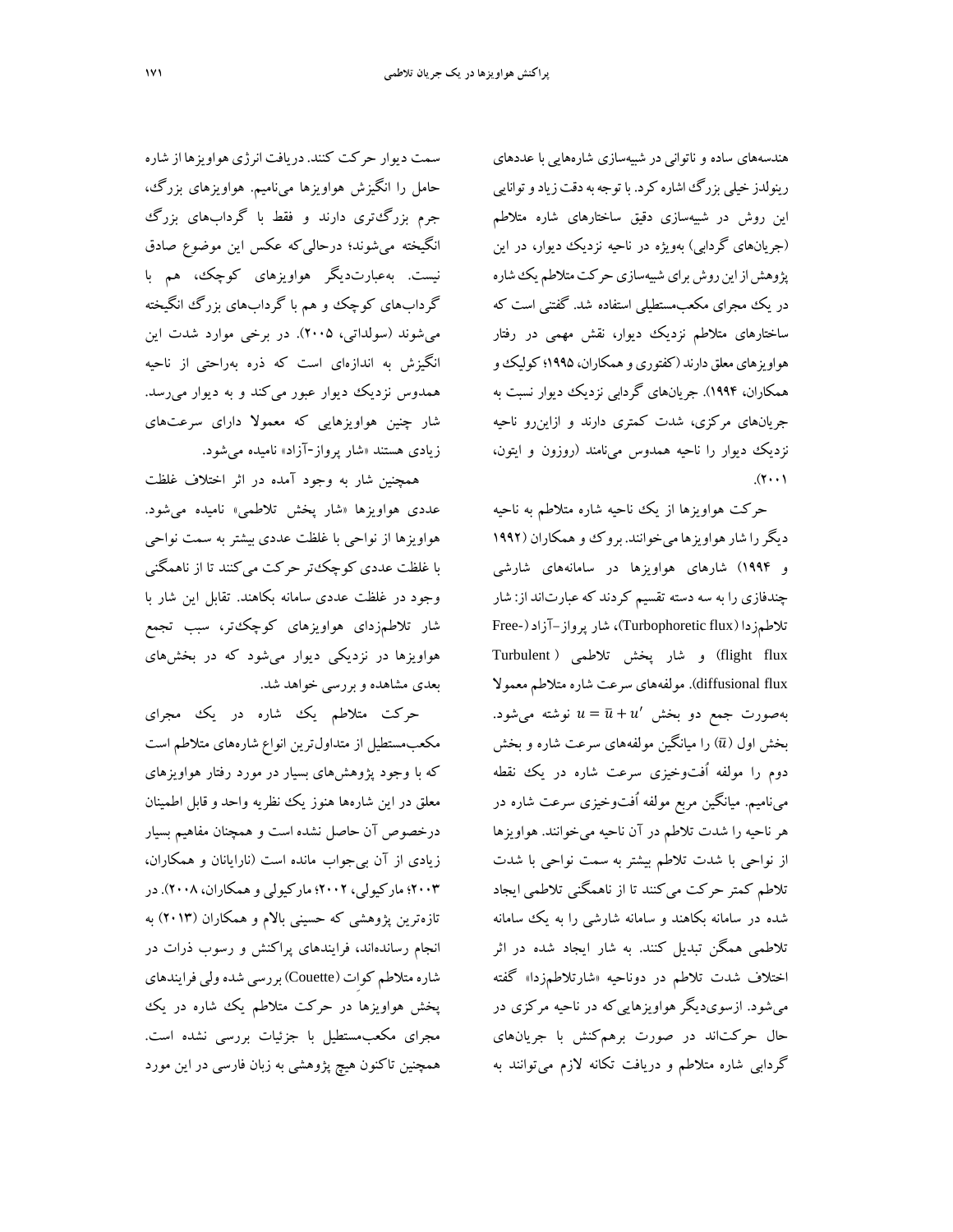هندسههاي ساده و ناتواني در شبيهسازي شارههايي با عددهاي رينولدز خيلي بزرگاشاره كرد. با توجهبهدقتزيادوتوانايي اين روش در شبيهسازي دقيق ساختارهاي شاره متلاطم (جريانهاي گردابي) بهويژه در ناحيه نزديك ديوار، در اين پژوهش از اين روش براي شبيهسازي حركت متلاطم يك شاره در يك مجراي مكعبمستطيلي استفاده شد. گفتني است كه ساختارهاي متلاطم نزديك ديوار، نقش مهمي در رفتار هواويزهاي معلق دارند (كفتوري و همكاران، ۱۹۹۵؛ كوليك و همكاران، 1994). جريانهاي گردابي نزديك ديوار نسبت به جريانهاي مركزي، شدت كمتري دارند و ازاينرو ناحيه نزديك ديوار را ناحيه همدوس مينامند (روزون و ايتون،  $(r \cdot \cdot)$ 

حركت هواويزها از يك ناحيه شاره متلاطم به ناحيه ديگررا شارهواويزها ميخوانند. بروك و همكاران (1992 و 1994) شارهاي هواويزها در سامانههاي شارشي چندفازي را به سه دسته تقسيم كردند كهعبارتاند از: شار تلاطمزدا (flux Turbophoretic(، شار پرواز-آزاد(-Free flux flight (و شار پخش تلاطمي ( Turbulent flux diffusional(. مولفههاي سرعت شاره متلاطم معمولا بهصورت جمع دو بخش  $u=\bar{u}+u'$  نوشته ميشود. بخش اول  $(\bar u)$  را ميانگين مولفههاي سرعت شاره و بخش دوم را مولفه اُفتوخيزي سرعت شاره در يك نقطه ميناميم. ميانگين مربع مولفه اُفتوخيزي سرعت شاره در هر ناحيه را شدت تلاطم در آن ناحيه ميخوانند. هواويزها از نواحي با شدت تلاطم بيشتر به سمت نواحي با شدت تلاطم كمتر حركت ميكنند تا از ناهمگني تلاطمي ايجاد شده در سامانه بكاهند و سامانه شارشي را به يك سامانه تلاطمي همگن تبديل كنند. به شار ايجاد شده در اثر اختلاف شدت تلاطم در دوناحيه «شارتلاطمزدا» گفته ميشود. ازسويديگر هواويزهاييكه در ناحيه مركزي در حال حركتاند در صورت برهمكنش با جريانهاي گردابي شاره متلاطم و دريافت تكانه لازم ميتوانند به

سمت ديوار حركت كنند.دريافت انرژي هواويزها از شاره حامل را انگيزش هواويزها ميناميم. هواويزهاي بزرگ، جرم بزرگتري دارند و فقط با گردابهاي بزرگ انگيخته ميشوند؛ درحاليكه عكس اين موضوع صادق نيست. بهعبارتديگر هواويزهاي كوچك، هم با گردابهاي كوچك و هم با گردابهاي بزرگ انگيخته ميشوند (سولداتي، 2005). در برخي موارد شدت اين انگيزش به اندازهاي است كه ذره بهراحتي از ناحيه همدوس نزديك ديوار عبور ميكند و به ديوار ميرسد. شار چنين هواويزهايي كه معمولا داراي سرعتهاي زيادي هستند «شار پرواز-آزاد» ناميده ميشود.

همچنين شار به وجود آمده در اثر اختلاف غلظت عددي هواويزها «شار پخش تلاطمي» ناميده ميشود. هواويزها از نواحي با غلظت عددي بيشتر به سمت نواحي با غلظت عددي كوچكتر حركت ميكنند تا از ناهمگني وجود در غلظت عددي سامانه بكاهند. تقابل اين شار با شار تلاطمزداي هواويزهاي كوچكتر، سبب تجمع هواويزها در نزديكي ديوار ميشود كه در بخشهاي بعدي مشاهده و بررسي خواهد شد.

حركت متلاطم يك شاره در يك مجراي مكعبمستطيل از متداولترين انواع شارههاي متلاطم است كه با وجود پژوهشهاي بسيار در مورد رفتار هواويزهاي معلق در اين شارهها هنوز يك نظريه واحد وقابل اطمينان درخصوص آن حاصل نشده است و همچنان مفاهيم بسيار زيادي از آن بيجواب مانده است (نارايانان و همكاران، 2003؛ ماركيولي، 2002؛ ماركيولي وهمكاران، 2008).در تازهترين پژوهشي كه حسيني بالام و همكاران (2013) به انجام رساندهاند، فرايندهاي پراكنش و رسوب ذرات در شاره متلاطم كواِت (Couette (بررسي شدهولي فرايندهاي پخش هواويزها در حركت متلاطم يك شاره در يك مجراي مكعبمستطيل با جزئيات بررسي نشده است. همچنين تاكنون هيچ پژوهشي به زبان فارسي در اين مورد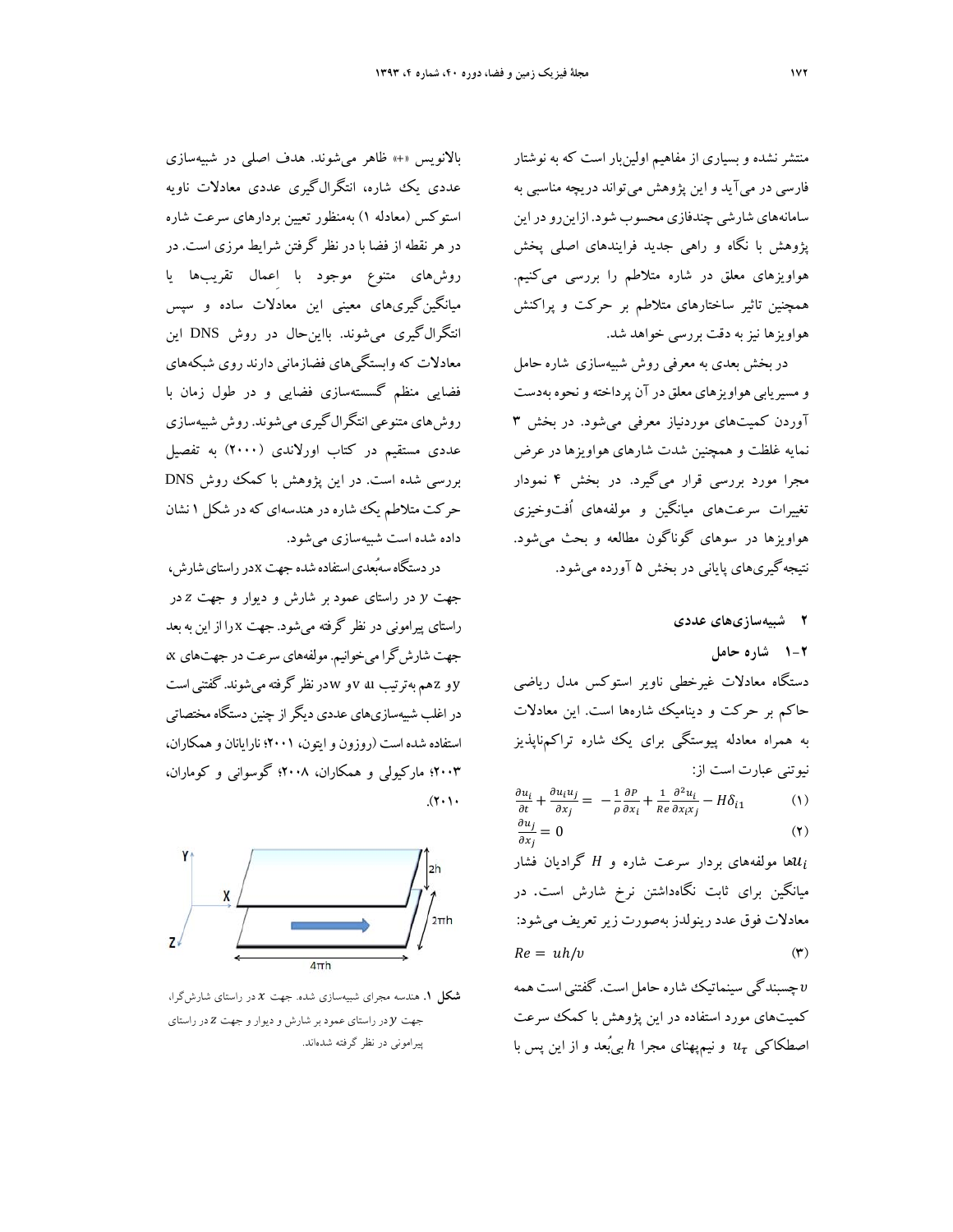منتشرنشده و بسياري از مفاهيم اولينبار است كه به نوشتار فارسي در ميآيد و اين پژوهش ميتواند دريچه مناسبي به سامانههاي شارشي چندفازي محسوب شود. ازاين رو در اين پژوهش با نگاه و راهي جديد فرايندهاي اصلي پخش هواويزهاي معلق در شاره متلاطم را بررسي ميكنيم. همچنين تاثير ساختارهاي متلاطم بر حركت و پراكنش هواويزها نيزبه دقت بررسي خواهد شد.

دربخش بعدي به معرفي روش شبيهسازي شاره حامل و مسيريابي هواويزهاي معلق در آن پرداخته و نحوه بهدست آوردن كميتهاي موردنياز معرفي ميشود. در بخش 3 نمايه غلظت و همچنين شدت شارهاي هواويزها در عرض مجرا مورد بررسي قرار ميگيرد. در بخش 4 نمودار تغييرات سرعتهاي ميانگين و مولفههاي اُفتوخيزي هواويزها در سوهاي گوناگون مطالعه و بحث ميشود. نتيجهگيريهاي پاياني در بخش 5 آورده ميشود.

**2 شبيهسازيهاي عددي 1-2 شاره حامل** دستگاه معادلات غيرخطي ناوير استوكس مدل رياضي حاكم بر حركت و ديناميك شارهها است. اين معادلات به همراه معادله پيوستگي براي يك شاره تراكمناپذيز نيوتني عبارت است از:  $rac{\partial u_i}{\partial t} + \frac{\partial u_i u_j}{\partial x_i}$  $rac{u_i u_j}{\partial x_j} = -\frac{1}{\rho}$ дР  $\frac{\partial P}{\partial x_i} + \frac{1}{Re}$  $\partial^2 u_i$  $\frac{\partial u_i}{\partial x_i x_j} - H \delta_{i1}$  (1)  $\partial u_j$  $\partial x_j$  $= 0$  (1) ها مولفههای بردار سرعت شاره و  $H$  گرادیان فشار $\mathcal{u}_i$ ميانگين براي ثابت نگاهداشتن نرخ شارش است. در معادلات فوق عدد رينولدز بهصورت زيرتعريف ميشود:  $Re = uh/v$  (۳) ߭ چسبندگي سينماتيك شاره حامل است. گفتني است همه

كميتهاي مورد استفاده در اين پژوهش با كمك سرعت اصطکاکی  $u_\tau$  و نيمپهناي مجرا  $h$ بي ُبعد و از اين پس با

بالانويس «+» ظاهر ميشوند. هدف اصلي در شبيهسازي عددي يك شاره، انتگرالگيري عددي معادلات ناويه استوكس (معادله 1) بهمنظور تعيين بردارهاي سرعت شاره در هر نقطه از فضا با در نظر گرفتن شرايط مرزي است. در روشهاي متنوع موجود با اِعمال تقريبها يا ميانگينگيريهاي معيني اين معادلات ساده و سپس انتگرالگيري ميشوند. بااينحال در روش DNS اين معادلات كه وابستگيهاي فضازماني دارند روي شبكههاي فضايي منظم گسستهسازي فضايي و در طول زمان با روشهاي متنوعي انتگرالگيري ميشوند. روش شبيهسازي عددي مستقيم در كتاب اورلاندي (2000) به تفصيل بررسي شده است. در اين پژوهش با كمك روش DNS حركت متلاطم يك شاره در هندسهاي كه در شكل ۱ نشان داده شده است شبيهسازي ميشود.

در دستگاه سهُبعدي استفاده شده جهت xدر راستاي شارش، جهت y در راستاي عمود بر شارش و ديوار و جهت z در راستاي پيراموني در نظر گرفته ميشود. جهت x را ازاين بهبعد جهت شارشگرا ميخوانيم. مولفههايسرعت در جهتهاي x، y و z همبهترتيب u، v و wدرنظر گرفتهميشوند. گفتنياست در اغلب شبيهسازيهاي عددي ديگر از چنين دستگاه مختصاتي استفاده شدهاست (روزون وايتون، 2001؛ نارايانان وهمكاران، 2003؛ ماركيولي و همكاران، 2008؛ گوسواني و كوماران،  $(1 \cdot 1)$ 



**شكل .1** هندسه مجراي شبيهسازي شده. جهت ݔ در راستاي شارشگرا، جهت  $y$  در راستاي عمود بر شارش و ديوار و جهت Z در راستاي پيراموني در نظر گرفته شدهاند.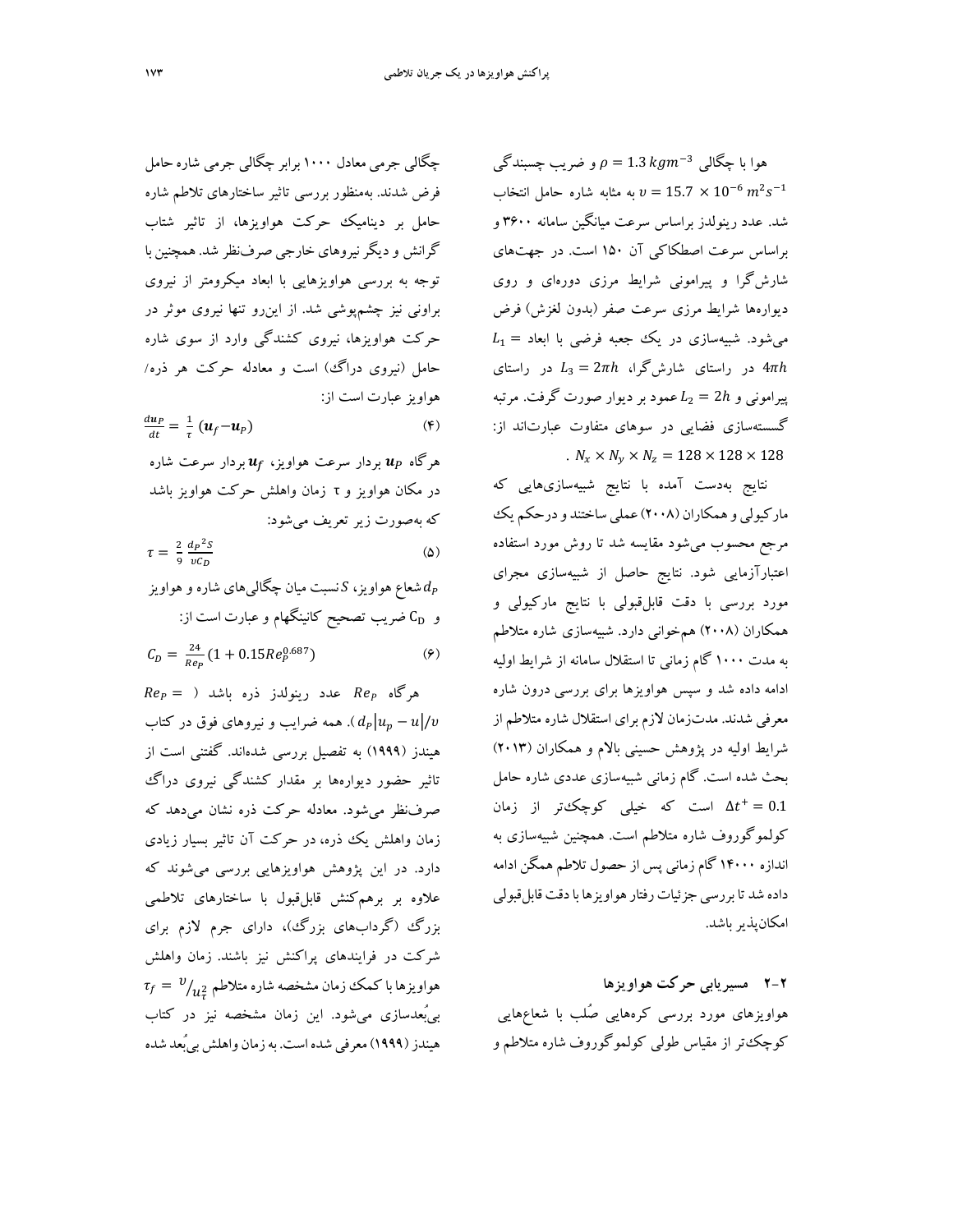و ضريب چسبندگي  $\rho = 1.3 \ kgm^{-3}$  هوا با چگالي به مثابه شاره حامل انتخاب  $v = 15.7 \times 10^{-6} \ m^2 s^{-1}$ شد. عدد رينولدز براساس سرعت ميانگين سامانه 3600 و براساس سرعت اصطكاكي آن 150 است. در جهتهاي شارشگرا و پيراموني شرايط مرزي دورهاي و روي ديوارهها شرايط مرزي سرعت صفر (بدون لغزش) فرض  $L_1 = \lambda$ میشود. شبیهسازی در یک جعبه فرضی با ابعاد در راستای شارشگرا،  $L_3 = 2\pi h$  در راستای  $4\pi h$ پیرامونی و  $L_2 = 2$  عمود بر دیوار صورت گرفت. مرتبه گسستهسازي فضايي در سوهاي متفاوت عبارتاند از: .  $N_x \times N_y \times N_z = 128 \times 128 \times 128$ 

نتايج بهدست آمده با نتايج شبيهسازيهايي كه ماركيولي و همكاران (٢٠٠٨) عملي ساختند و درحكم يك مرجع محسوب ميشود مقايسه شد تا روش مورد استفاده اعتبارآزمايي شود. نتايج حاصل از شبيهسازي مجراي مورد بررسي با دقت قابلقبولي با نتايج ماركيولي و همكاران (2008) همخواني دارد. شبيهسازي شاره متلاطم به مدت 1000 گام زماني تا استقلال سامانه از شرايط اوليه ادامه داده شد و سپس هواويزها براي بررسي درون شاره معرفي شدند. مدتزمان لازم براي استقلال شاره متلاطم از شرايط اوليه در پژوهش حسيني بالام و همكاران (2013) بحث شده است. گام زماني شبيهسازي عددي شاره حامل 0.1 = ା است كه خيلي كوچكتر از زمان ݐ∆ كولموگوروف شاره متلاطم است. همچنين شبيهسازي به اندازه 14000 گامزماني پس از حصول تلاطم همگن ادامه داده شد تا بررسي جزئيات رفتار هواويزها با دقت قابل قبولي امكانپذير باشد.

**2-2 مسيريابي حركت هواويزها**  هواويزهاي مورد بررسي كرههايي صُلب با شعاعهايي كوچكتر از مقياس طولي كولموگوروف شاره متلاطم و

چگالي جرمي معادل 1000 برابر چگالي جرمي شاره حامل فرض شدند. بهمنظور بررسي تاثير ساختارهاي تلاطم شاره حامل بر ديناميك حركت هواويزها، از تاثير شتاب گرانش وديگرنيروهاي خارجي صرفنظر شد. همچنين با توجه به بررسي هواويزهايي با ابعاد ميكرومتر از نيروي براوني نيز چشمپوشي شد. از اينرو تنها نيروي موثر در حركت هواويزها، نيروي كشندگي وارد از سوي شاره حامل (نيروي دراگ) است و معادله حركت هر ذره/ هواويز عبارت است از:

 $\frac{du_P}{dt} = \frac{1}{\tau} \left( \mathbf{u}_f - \mathbf{u}_P \right)$  (۴)

هرگاه  $\bm{u}_P$  بردار سرعت هواويز،  $\bm{u}_f$  بردار سرعت شاره در مكان هواويز و τ زمان واهلش حركت هواويز باشد كه بهصورت زير تعريف ميشود:  $\frac{1}{2} d \cdot \frac{2}{3} c$ 

$$
\tau = \frac{2}{9} \frac{d_P^2 S}{v c_D} \tag{2}
$$

شعاع هواويز، ك $S$ نسبت ميان چگالي $\epsilon$ اي شاره و هواويز  $d_P$ و CD ضريب تصحيح كانينگهام وعبارت است از:

$$
C_D = \frac{24}{Re_P} (1 + 0.15 Re_P^{0.687})
$$
 (9)

 $Re_P = 0$  عدد رينولدز ذره باشد  $Re_P = 0$ . همه ضرايب و نيروهاى فوق در كتاب (  $d_P|u_p-u|/v$ هيندز (1999) به تفصيل بررسي شدهاند. گفتني است از تاثير حضور ديوارهها بر مقدار كشندگي نيروي دراگ صرفنظر ميشود. معادله حركت ذره نشان ميدهد كه زمان واهلش يك ذره، در حركت آن تاثير بسيار زيادي دارد. در اين پژوهش هواويزهايي بررسي ميشوند كه علاوه بر برهمكنش قابلقبول با ساختارهاي تلاطمي بزرگ (گردابهاي بزرگ)، داراي جرم لازم براي شركت در فرايندهاي پراكنش نيز باشند. زمان واهلش  $\tau_f = \left. v_{\prime} \right|_{u_{\tau}^2}$ هواویزها با کمک زمان مشخصه شاره متلاطم بيبُعدسازي ميشود. اين زمان مشخصه نيز در كتاب هيندز (١٩٩٩) معرفي شده است. به زمان واهلش بي بُعد شده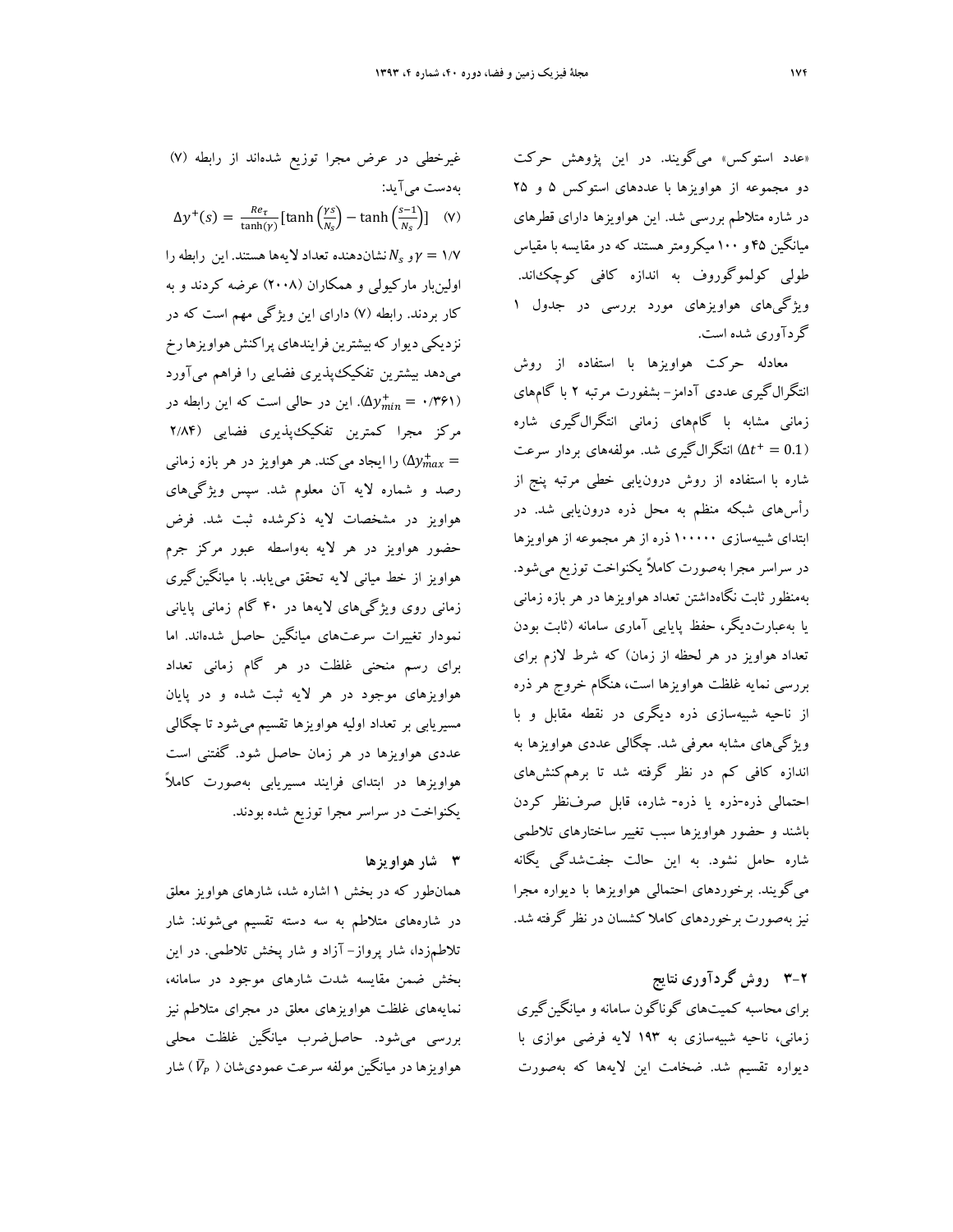«عدد استوكس» ميگويند. در اين پژوهش حركت دو مجموعه از هواويزها با عددهاي استوكس 5 و 25 در شاره متلاطم بررسي شد. اين هواويزها داراي قطرهاي ميانگين 45 و 100 ميكرومتر هستند كه درمقايسه با مقياس طولي كولموگوروف به اندازه كافي كوچكاند. ويژگيهاي هواويزهاي مورد بررسي در جدول 1 گردآوري شده است.

معادله حركت هواويزها با استفاده از روش انتگرالگيري عددي آدامز- بشفورت مرتبه 2 با گامهاي زماني مشابه با گامهاي زماني انتگرالگيري شاره انتگرالگيري شد. مولفههاي بردار سرعت ( ا $\Delta t^+=0.1$ شاره با استفاده از روش درونيابي خطي مرتبه پنج از رأسهاي شبكه منظم به محل ذره درونيابي شد. در ابتداي شبيهسازي 100000 ذره از هر مجموعه از هواويزها در سراسر مجرا بهصورت ً كاملا يكنواخت توزيع ميشود. بهمنظور ثابت نگاهداشتن تعداد هواويزها در هر بازه زماني يا بهعبارتديگر، حفظ پايايي آماري سامانه (ثابت بودن تعداد هواويز در هر لحظه از زمان) كه شرط لازم براي بررسي نمايه غلظت هواويزها است، هنگام خروج هر ذره از ناحيه شبيهسازي ذره ديگري در نقطه مقابل و با ويژگيهاي مشابه معرفي شد. چگالي عددي هواويزها به اندازه كافي كم در نظر گرفته شد تا برهمكنشهاي احتمالي ذره-ذره يا ذره- شاره، قابل صرفنظر كردن باشند و حضور هواويزها سبب تغيير ساختارهاي تلاطمي شاره حامل نشود. به اين حالت جفتشدگي يگانه ميگويند. برخوردهاي احتمالي هواويزها با ديواره مجرا نيز بهصورت برخوردهاي كاملا كشسان در نظر گرفته شد.

# **3-2 روش گردآوري نتايج**  براي محاسبه كميتهاي گوناگون سامانه و ميانگينگيري زماني، ناحيه شبيهسازي به 193 لايه فرضي موازي با ديواره تقسيم شد. ضخامت اين لايهها كه بهصورت

غيرخطي در عرض مجرا توزيع شدهاند از رابطه (7) بهدست ميآيد:  $\Delta y^+(s) = \frac{Re_\tau}{\tanh(\gamma)} [\tanh(\frac{\gamma s}{N_s}) - \tanh(\frac{s-1}{N_s})]$  (V) ار  $\gamma_s$  نشاندهنده تعداد لايهها هستند. اين رابطه را $\gamma=$  ۱/۷ اولينبار ماركيولي و همكاران (2008) عرضه كردند و به كار بردند. رابطه (7) داراي اين ويژگي مهم است كه در نزديكي ديوار كه بيشترين فرايندهاي پراكنش هواويزها رخ ميدهد بيشترين تفكيكپذيري فضايي را فراهم ميآورد در حالي است كه اين رابطه در (۵ $y^{+}_{min} = \cdot$ ۱۳۶۱) مركز مجرا كمترين تفكيكپذيري فضايي (2/84 را ايجاد ميكند. هر هواويز در هر بازه زماني  $\Delta y_{max}^+=$ رصد و شماره لايه آن معلوم شد. سپس ويژگيهاي هواويز در مشخصات لايه ذكرشده ثبت شد. فرض حضور هواويز در هر لايه بهواسطه عبور مركز جرم هواويز از خط مياني لايه تحقق مييابد. با ميانگينگيري زماني روي ويژگيهاي لايهها در 40 گام زماني پاياني نمودار تغييرات سرعتهاي ميانگين حاصل شدهاند. اما براي رسم منحني غلظت در هر گام زماني تعداد هواويزهاي موجود در هر لايه ثبت شده و در پايان مسيريابي بر تعداد اوليه هواويزها تقسيم ميشود تا چگالي عددي هواويزها در هر زمان حاصل شود. گفتني است هواويزها در ابتداي فرايند مسيريابي بهصورت ً كاملا يكنواخت در سراسر مجرا توزيع شده بودند.

### **3 شار هواويزها**

همانطور كه در بخش 1 اشاره شد، شارهاي هواويز معلق در شارههاي متلاطم به سه دسته تقسيم ميشوند: شار تلاطمزدا، شار پرواز- آزاد و شار پخش تلاطمي. در اين بخش ضمن مقايسه شدت شارهاي موجود در سامانه، نمايههاي غلظت هواويزهاي معلق در مجراي متلاطم نيز بررسي ميشود. حاصلضرب ميانگين غلظت محلي هواويزها در ميانگين مولفه سرعت عمودىشان (  $\bar V_P$  ) شار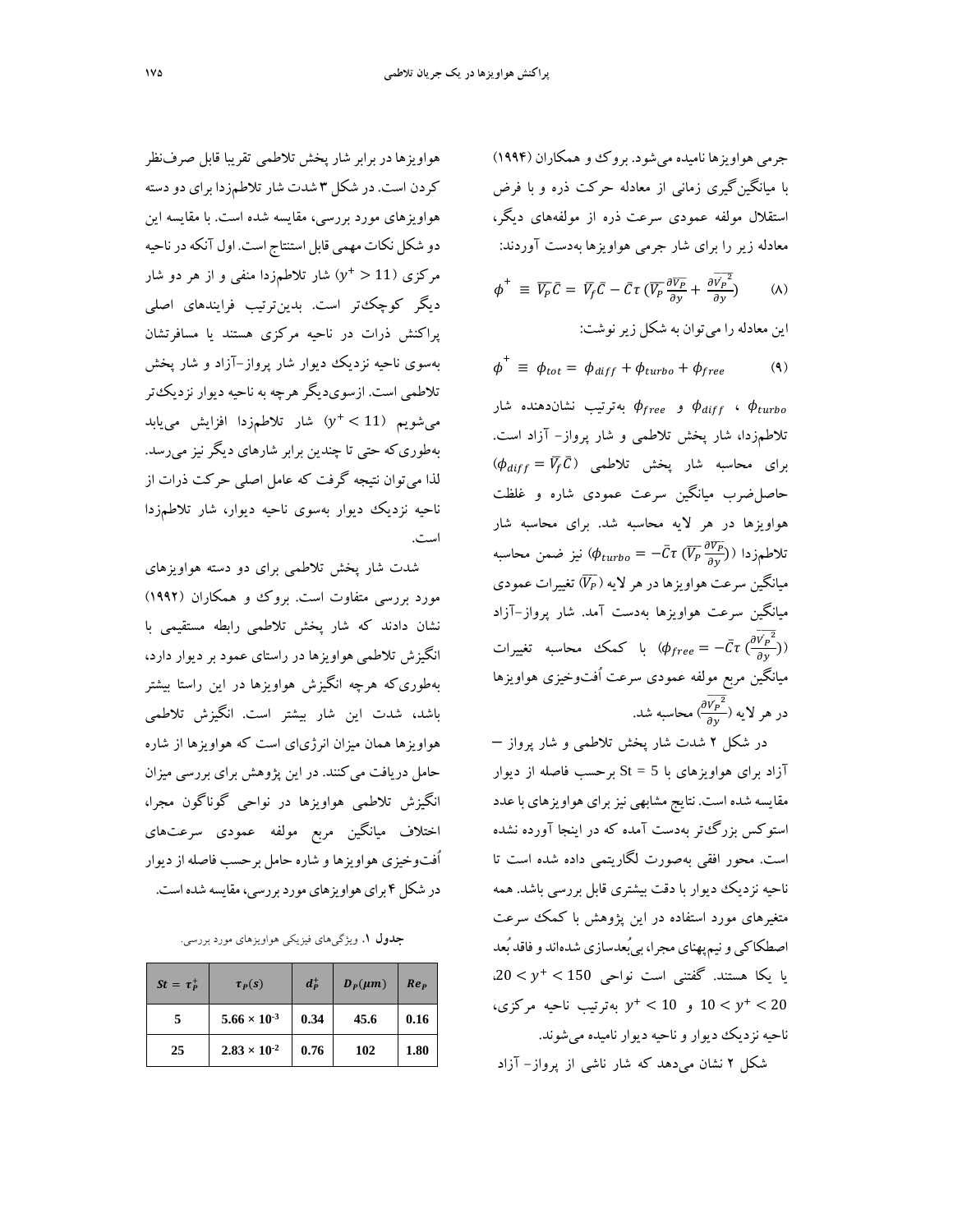جرمي هواويزها ناميده ميشود. بروك و همكاران (1994) با ميانگينگيري زماني از معادله حركت ذره و با فرض استقلال مولفه عمودي سرعت ذره از مولفههاي ديگر، معادله زير را براي شار جرمي هواويزها بهدست آوردند:

$$
\phi^+ \equiv \overline{V_P} \overline{C} = \overline{V_f} \overline{C} - \overline{C} \tau \left( \overline{V_P} \frac{\partial \overline{V_P}}{\partial y} + \frac{\partial \overline{V_P}^2}{\partial y} \right) \qquad (\lambda)
$$

$$
\phi^+ \equiv \phi_{tot} = \phi_{diff} + \phi_{turbo} + \phi_{free}
$$
 (9)

و  $\phi_{free}$  بهترتيب نشاندهنده شار  $\phi_{\it{diff}}$  ،  $\phi_{\it{turbo}}$ تلاطمزدا، شار پخش تلاطمي و شار پرواز- آزاد است.  $\phi_{diff} = \bar{V_f} \bar{C}$ ) برای محاسبه شار پخش تلاطمی حاصلضرب ميانگين سرعت عمودي شاره و غلظت هواويزها در هر لايه محاسبه شد. براي محاسبه شار تلاطمزدا ( $\bar{C}\tau\ (\overline{V_P}\frac{\partial \overline{V_P}}{\partial y})$ نيز ضمن محاسبه میانگین سرعت هواویزها در هر لایه ( $\overline{V_P}$  تغییرات عمودی ميانگين سرعت هواويزها بهدست آمد. شار پرواز-آزاد ҧبا كمك محاسبه تغييرات ( $\phi_{free} = -\bar{C}\tau\ (\frac{\partial \overline{V_P}^2}{\partial y})$ ميانگين مربع مولفه عمودي سرعت اُفتوخيزي هواويزها  $\frac{\partial \overline{V_P}^2}{\partial \nu}$ در هر لايه ( محاسبه شد.  $\frac{c}{\partial y}$ 

در شكل 2 شدت شار پخش تلاطمي و شار پرواز – آزاد براي هواويزهاي با 5 = St برحسب فاصله از ديوار مقايسه شده است. نتايج مشابهي نيزبراي هواويزهاي باعدد استوكس بزرگتر بهدست آمده كه در اينجا آورده نشده است. محور افقي بهصورت لگاريتمي داده شده است تا ناحيه نزديك ديوار با دقت بيشتري قابل بررسي باشد. همه متغيرهاي مورد استفاده در اين پژوهش با كمك سرعت اصطكاكي و نيمپهناي مجرا، بي ُبعدسازي شدهاند و فاقد بُعد  $150 < y^+ < 150$ ، يا يكا هستند. گفتني است نواحي ر بهترتيب ناحيه مركزي،  $y^{+} < 10$  و  $10 < y^{+} < 20$ ناحيه نزديك ديوار و ناحيه ديوار ناميده ميشوند.

شكل 2 نشان ميدهد كه شار ناشي از پرواز- آزاد

هواويزهادربرابر شارپخش تلاطمي تقريبا قابل صرفنظر كردن است. در شكل 3 شدت شارتلاطمزدا براي دودسته هواويزهاي مورد بررسي، مقايسه شده است. با مقايسه اين دو شكل نكات مهمي قابل استنتاج است. اول آنكه در ناحيه مركزي (11 < +v) شار تلاطمزدا منفي و از هر دو شار ديگر كوچكتر است. بدينترتيب فرايندهاي اصلي پراكنش ذرات در ناحيه مركزي هستند يا مسافرتشان بهسوي ناحيه نزديك ديوار شار پرواز-آزاد و شار پخش تلاطمي است. ازسويديگر هرچه به ناحيه ديوار نزديكتر 11  $y^+ < 11$  شار تلاطمزدا افزايش مي يابد بهطوريكه حتي تا چندين برابر شارهاي ديگر نيز ميرسد. لذا ميتوان نتيجه گرفت كه عامل اصلي حركت ذرات از ناحيه نزديك ديوار بهسوي ناحيه ديوار، شار تلاطمزدا است.

شدت شار پخش تلاطمي براي دو دسته هواويزهاي مورد بررسي متفاوت است. بروك و همكاران (1992) نشان دادند كه شار پخش تلاطمي رابطه مستقيمي با انگيزش تلاطمي هواويزها در راستاي عمود بر ديوار دارد، بهطوريكه هرچه انگيزش هواويزها در اين راستا بيشتر باشد، شدت اين شار بيشتر است. انگيزش تلاطمي هواويزها همان ميزان انرژياي است كه هواويزها از شاره حامل دريافت ميكنند. در اين پژوهش براي بررسي ميزان انگيزش تلاطمي هواويزها در نواحي گوناگون مجرا، اختلاف ميانگين مربع مولفه عمودي سرعتهاي اُفتوخيزي هواويزها و شاره حامل برحسب فاصلهازديوار در شكل ۴ براي هواويزهاي مورد بررسي، مقايسه شده است.

**جدول .1** ويژگيهاي فيزيكي هواويزهاي مورد بررسي.

| $St = \tau_P^+$ | $\tau_p(s)$           | $d_{p}^{+}$ | $D_p(\mu m)$ | Re <sub>p</sub> |
|-----------------|-----------------------|-------------|--------------|-----------------|
|                 | $5.66 \times 10^{-3}$ | 0.34        | 45.6         | 0.16            |
| 25              | $2.83 \times 10^{-2}$ | 0.76        | 102          | 1.80            |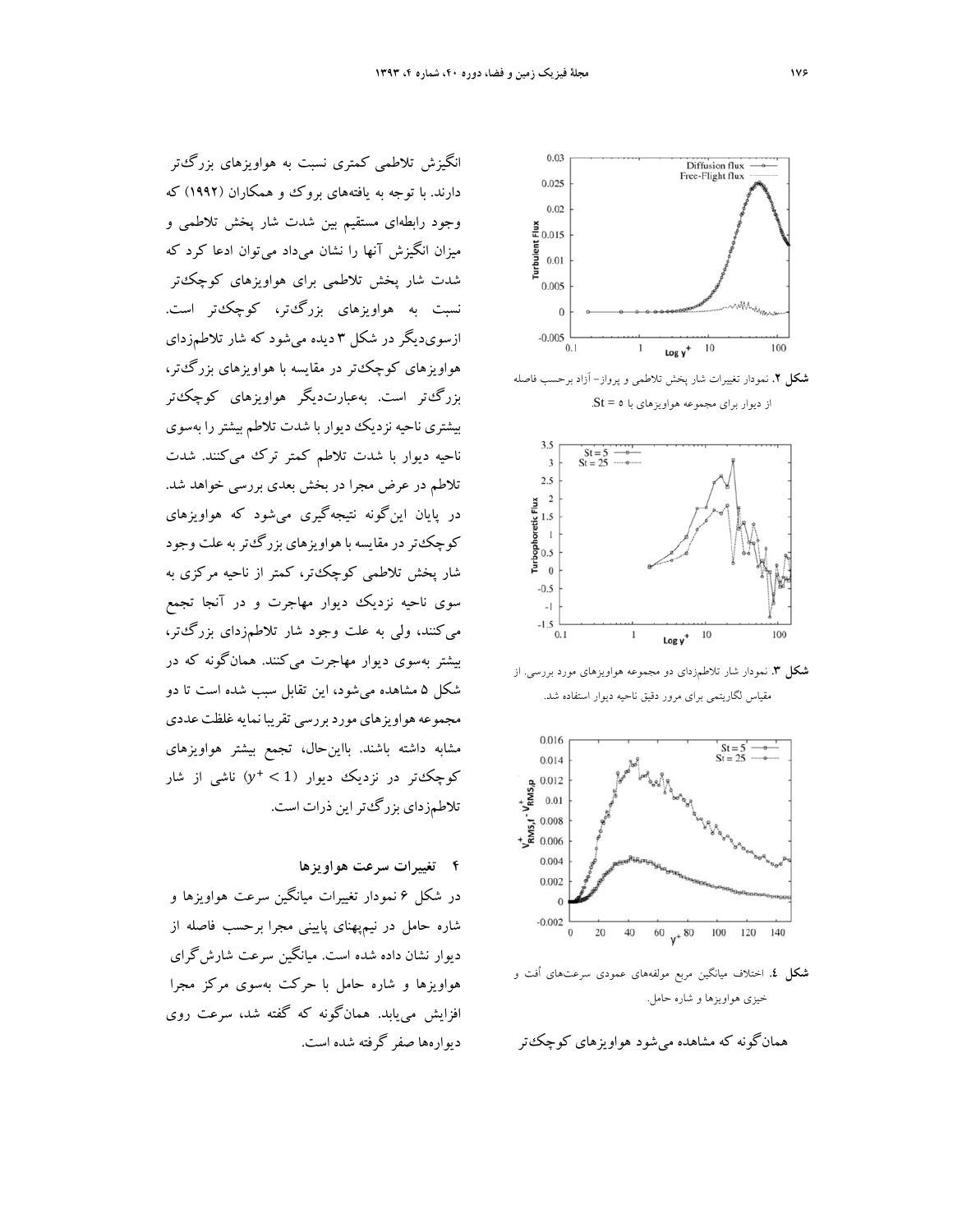انگيزش تلاطمي كمتري نسبت به هواويزهاي بزرگتر دارند. با توجه به يافتههاي بروك و همكاران (1992) كه وجود رابطهاي مستقيم بين شدت شار پخش تلاطمي و ميزان انگيزش آنها را نشان ميداد ميتوان ادعا كرد كه شدت شار پخش تلاطمي براي هواويزهاي كوچكتر نسبت به هواويزهاي بزرگتر، كوچكتر است. ازسويديگر در شكل 3 ديده ميشود كه شار تلاطمزداي هواويزهاي كوچكتر در مقايسه با هواويزهاي بزرگتر، بزرگتر است. بهعبارتديگر هواويزهاي كوچكتر بيشتري ناحيه نزديك ديوار با شدت تلاطم بيشتررا بهسوي ناحيه ديوار با شدت تلاطم كمتر ترك ميكنند. شدت تلاطم در عرض مجرا در بخش بعدي بررسي خواهد شد. در پايان اينگونه نتيجهگيري ميشود كه هواويزهاي كوچكتر در مقايسه با هواويزهاي بزرگءتر به علت وجود شار پخش تلاطمي كوچكتر، كمتر از ناحيه مركزي به سوي ناحيه نزديك ديوار مهاجرت و در آنجا تجمع ميكنند، ولي به علت وجود شار تلاطمزداي بزرگتر، بيشتر بهسوي ديوار مهاجرت ميكنند. همانگونه كه در شكل 5 مشاهده ميشود، اين تقابل سبب شده است تا دو مجموعه هواويزهاي مورد بررسي تقريبا نمايه غلظت عددي مشابه داشته باشند. بااينحال، تجمع بيشتر هواويزهاي كوچكتر در نزديك ديوار (1 > +y) ناشي از شار تلاطمزداي بزرگتراين ذرات است.

## **4 تغييرات سرعت هواويزها**

در شكل 6 نمودار تغييرات ميانگين سرعت هواويزها و شاره حامل در نيمپهناي پاييني مجرا برحسب فاصله از ديوار نشان داده شده است. ميانگين سرعت شارشگراي هواويزها و شاره حامل با حركت بهسوي مركز مجرا افزايش مييابد. همانگونه كه گفته شد، سرعت روي ديوارهها صفر گرفته شده است.



**شكل .2** نمودار تغييرات شار پخش تلاطمي و پرواز- آزاد برحسب فاصله از ديوار براي مجموعه هواويزهاي با 5 = St.



**شكل .3** نمودار شار تلاطمزداي دو مجموعه هواويزهاي مورد بررسي. از مقياس لگاريتمي براي مرور دقيق ناحيه ديوار استفاده شد.



**شكل .4** اختلاف ميانگين مربع مولفههاي عمودي سرعتهاي اُفت و خيزي هواويزها و شاره حامل.

همانگونه كه مشاهده ميشود هواويزهاي كوچكتر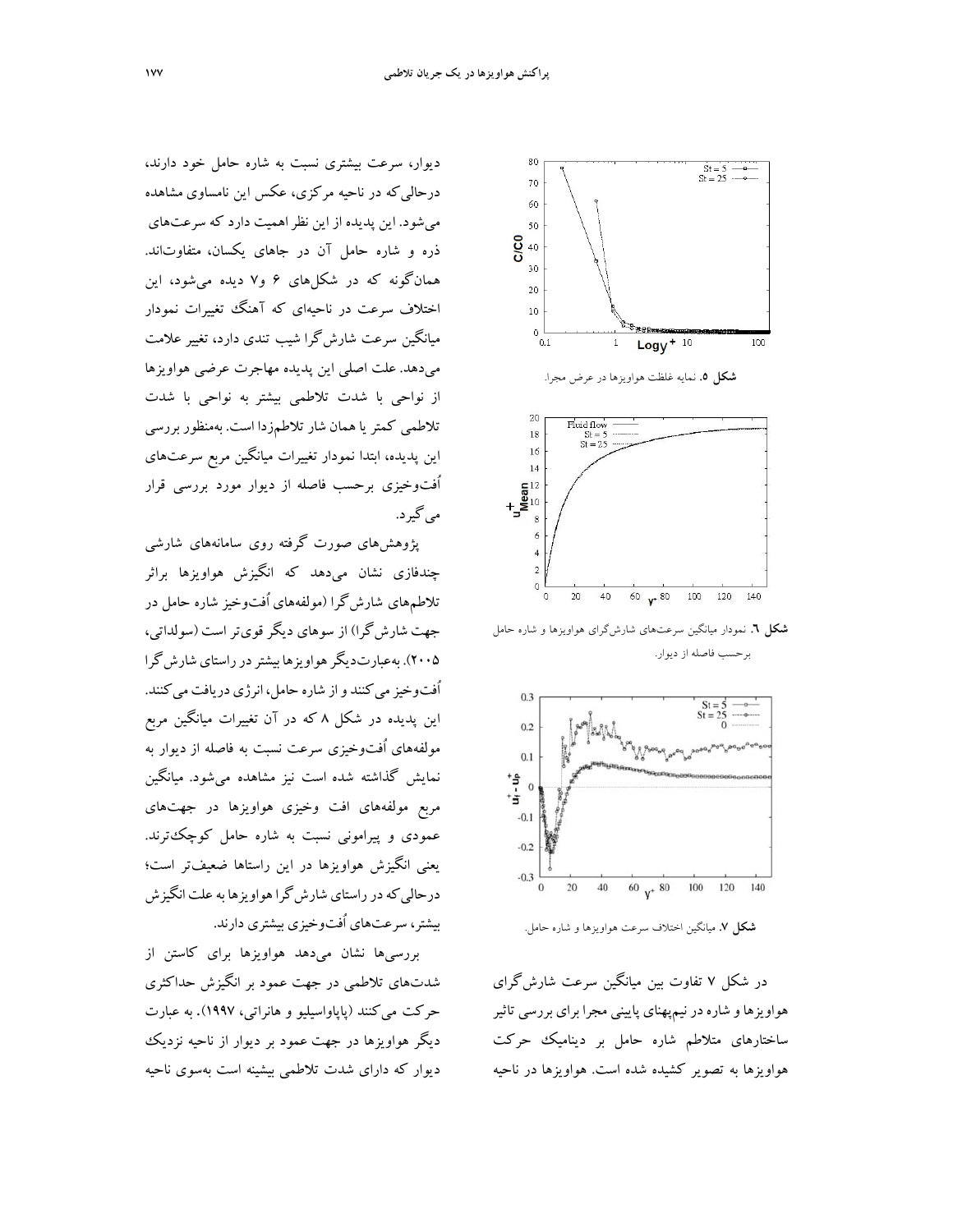ديوار، سرعت بيشتري نسبت به شاره حامل خود دارند، درحاليكه در ناحيه مركزي، عكس اين نامساوي مشاهده ميشود. اين پديده از اين نظراهميت دارد كه سرعتهاي ذره و شاره حامل آن در جاهاي يكسان، متفاوتاند. همانگونه كه در شكلهاي 6 و7 ديده ميشود، اين اختلاف سرعت در ناحيهاي كه آهنگ تغييرات نمودار ميانگين سرعت شارشگرا شيب تندي دارد، تغيير علامت ميدهد. علت اصلي اين پديده مهاجرت عرضي هواويزها از نواحي با شدت تلاطمي بيشتر به نواحي با شدت تلاطمي كمتريا همان شارتلاطمزدا است. بهمنظور بررسي اين پديده، ابتدا نمودار تغييرات ميانگين مربع سرعتهاي اُفتوخيزي برحسب فاصله از ديوار مورد بررسي قرار ميگيرد.

پژوهشهاي صورت گرفته روي سامانههاي شارشي چندفازي نشان ميدهد كه انگيزش هواويزها براثر تلاطمهاي شارشگرا (مولفههاي اُفتوخيز شاره حامل در جهت شارشگرا) از سوهاي ديگر قويتر است (سولداتي، 2005). بهعبارتديگرهواويزها بيشتردرراستايشارشگرا اُفتوخيز مي كنند و از شاره حامل، انرژي دريافت مي كنند. اين پديده در شكل 8 كه در آن تغييرات ميانگين مربع مولفههاي اُفتوخيزي سرعت نسبت به فاصله از ديوار به نمايش گذاشته شده است نيز مشاهده ميشود. ميانگين مربع مولفههاي افت وخيزي هواويزها در جهتهاي عمودي و پيراموني نسبت به شاره حامل كوچكترند. يعني انگيزش هواويزها در اين راستاها ضعيفتر است؛ درحالي كه در راستاي شارش گرا هواويزها به علت انگيزش بيشتر، سرعتهاي اُفتوخيزي بيشتري دارند.

بررسيها نشان ميدهد هواويزها براي كاستن از شدتهاي تلاطمي در جهت عمود بر انگيزش حداكثري حركت ميكنند (پاپاواسيليو و هانراتي، 1997). به عبارت ديگر هواويزها در جهت عمود بر ديوار از ناحيه نزديك ديوار كه داراي شدت تلاطمي بيشينه است بهسوي ناحيه



**شكل .6** نمودار ميانگين سرعتهاي شارشگراي هواويزها و شاره حامل برحسب فاصله از ديوار.



**شكل .7** ميانگين اختلاف سرعت هواويزها و شاره حامل.

در شكل 7 تفاوت بين ميانگين سرعت شارشگراي هواويزهاو شارهدرنيمپهناي پاييني مجرا براي بررسي تاثير ساختارهاي متلاطم شاره حامل بر ديناميك حركت هواويزها به تصوير كشيده شده است. هواويزها در ناحيه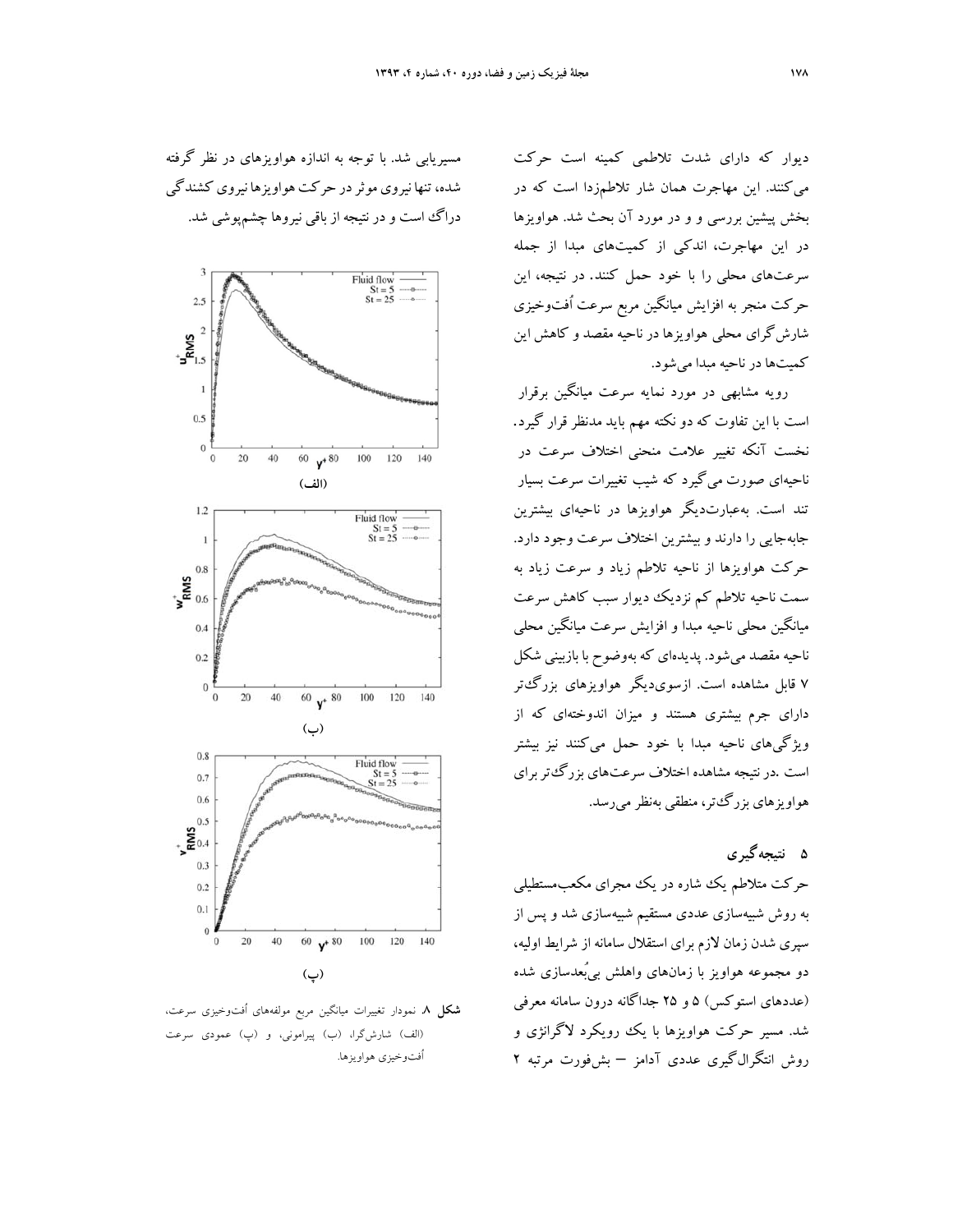ديوار كه داراي شدت تلاطمي كمينه است حركت ميكنند. اين مهاجرت همان شار تلاطمزدا است كه در بخش پيشين بررسي و و در مورد آن بحث شد. هواويزها در اين مهاجرت، اندكي از كميتهاي مبدا از جمله سرعتهاي محلي را با خود حمل كنند. در نتيجه، اين حركت منجر به افزايش ميانگين مربع سرعت اُفتوخيزي شارشگراي محلي هواويزها در ناحيه مقصد و كاهش اين كميتها در ناحيه مبدا ميشود.

رويه مشابهي در مورد نمايه سرعت ميانگين برقرار است با اين تفاوت كه دو نكته مهم بايد مدنظر قرار گيرد. نخست آنكه تغيير علامت منحني اختلاف سرعت در ناحيهاي صورت ميگيرد كه شيب تغييرات سرعت بسيار تند است. بهعبارتديگر هواويزها در ناحيهاي بيشترين جابهجايي را دارند و بيشترين اختلاف سرعت وجود دارد. حركت هواويزها از ناحيه تلاطم زياد و سرعت زياد به سمت ناحيه تلاطم كم نزديك ديوار سبب كاهش سرعت ميانگين محلي ناحيه مبدا و افزايش سرعت ميانگين محلي ناحيه مقصد ميشود. پديدهاي كه بهوضوح با بازبيني شكل 7 قابل مشاهده است. ازسويديگر هواويزهاي بزرگتر داراي جرم بيشتري هستند و ميزان اندوختهاي كه از ويژگيهاي ناحيه مبدا با خود حمل ميكنند نيز بيشتر است .درنتيجه مشاهده اختلاف سرعتهاي بزرگتربراي هواويزهاي بزرگتر، منطقي بهنظرميرسد.

**5 نتيجهگيري** حركت متلاطم يك شاره در يك مجراي مكعبمستطيلي به روش شبيهسازي عددي مستقيم شبيهسازي شد و پس از سپري شدن زمان لازم براي استقلال سامانه از شرايط اوليه، دو مجموعه هواويز با زمانهاي واهلش بيبُعدسازي شده (عددهاي استوكس) 5 و 25 جداگانه درون سامانه معرفي شد. مسير حركت هواويزها با يك رويكرد لاگرانژي و روش انتگرالگيري عددي آدامز – بشفورت مرتبه 2





**شكل .8** نمودار تغييرات ميانگين مربع مولفههاي اُفتوخيزي سرعت، (الف) شارشگرا، (ب) پيراموني، و (پ) عمودي سرعت اُفتوخيزي هواويزها.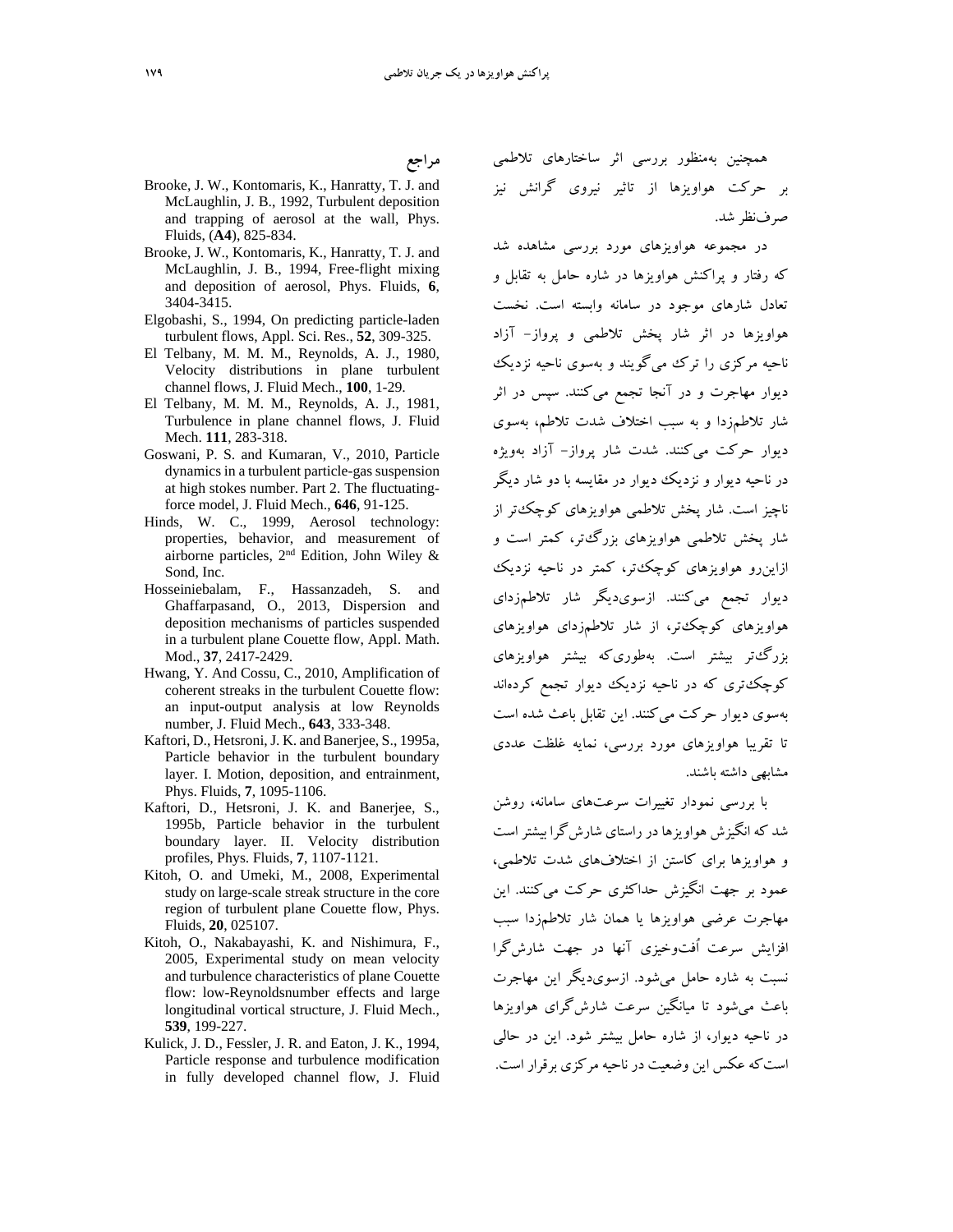- Brooke, J. W., Kontomaris, K., Hanratty, T. J. and McLaughlin, J. B., 1992, Turbulent deposition and trapping of aerosol at the wall, Phys. Fluids, (**A4**), 825-834.
- Brooke, J. W., Kontomaris, K., Hanratty, T. J. and McLaughlin, J. B., 1994, Free-flight mixing and deposition of aerosol, Phys. Fluids, **6**, 3404-3415.
- Elgobashi, S., 1994, On predicting particle-laden turbulent flows, Appl. Sci. Res., **52**, 309-325.
- El Telbany, M. M. M., Reynolds, A. J., 1980, Velocity distributions in plane turbulent channel flows, J. Fluid Mech., **100**, 1-29.
- El Telbany, M. M. M., Reynolds, A. J., 1981, Turbulence in plane channel flows, J. Fluid Mech. **111**, 283-318.
- Goswani, P. S. and Kumaran, V., 2010, Particle dynamics in a turbulent particle-gas suspension at high stokes number. Part 2. The fluctuatingforce model, J. Fluid Mech., **646**, 91-125.
- Hinds, W. C., 1999, Aerosol technology: properties, behavior, and measurement of airborne particles, 2nd Edition, John Wiley & Sond, Inc.
- Hosseiniebalam, F., Hassanzadeh, S. and Ghaffarpasand, O., 2013, Dispersion and deposition mechanisms of particles suspended in a turbulent plane Couette flow, Appl. Math. Mod., **37**, 2417-2429.
- Hwang, Y. And Cossu, C., 2010, Amplification of coherent streaks in the turbulent Couette flow: an input-output analysis at low Reynolds number, J. Fluid Mech., **643**, 333-348.
- Kaftori, D., Hetsroni, J. K. and Banerjee, S., 1995a, Particle behavior in the turbulent boundary layer. I. Motion, deposition, and entrainment, Phys. Fluids, **7**, 1095-1106.
- Kaftori, D., Hetsroni, J. K. and Banerjee, S., 1995b, Particle behavior in the turbulent boundary layer. II. Velocity distribution profiles, Phys. Fluids, **7**, 1107-1121.
- Kitoh, O. and Umeki, M., 2008, Experimental study on large-scale streak structure in the core region of turbulent plane Couette flow, Phys. Fluids, **20**, 025107.
- Kitoh, O., Nakabayashi, K. and Nishimura, F., 2005, Experimental study on mean velocity and turbulence characteristics of plane Couette flow: low-Reynoldsnumber effects and large longitudinal vortical structure, J. Fluid Mech., **539**, 199-227.
- Kulick, J. D., Fessler, J. R. and Eaton, J. K., 1994, Particle response and turbulence modification in fully developed channel flow, J. Fluid

همچنين بهمنظور بررسي اثر ساختارهاي تلاطمي بر حركت هواويزها از تاثير نيروي گرانش نيز صرفنظر شد.

در مجموعه هواويزهاي مورد بررسي مشاهده شد كه رفتار و پراكنش هواويزها در شاره حامل به تقابل و تعادل شارهاي موجود در سامانه وابسته است. نخست هواويزها در اثر شار پخش تلاطمي و پرواز- آزاد ناحيه مركزي را ترك ميگويند و بهسوي ناحيه نزديك ديوار مهاجرت و در آنجا تجمع ميكنند. سپس در اثر شار تلاطمزدا و به سبب اختلاف شدت تلاطم، بهسوي ديوار حركت ميكنند. شدت شار پرواز- آزاد بهويژه در ناحيه ديوار و نزديك ديوار در مقايسه با دو شار ديگر ناچيز است. شار پخش تلاطمي هواويزهاي كوچكتر از شار پخش تلاطمي هواويزهاي بزرگتر، كمتر است و ازاينرو هواويزهاي كوچكتر، كمتر در ناحيه نزديك ديوار تجمع ميكنند. ازسويديگر شار تلاطمزداي هواويزهاي كوچكتر، از شار تلاطمزداي هواويزهاي بزرگتر بيشتر است. بهطوريكه بيشتر هواويزهاي كوچكتري كه در ناحيه نزديك ديوار تجمع كردهاند بهسوي ديوار حركت ميكنند. اين تقابل باعث شده است تا تقريبا هواويزهاي مورد بررسي، نمايه غلظت عددي مشابهي داشته باشند.

با بررسي نمودار تغييرات سرعتهاي سامانه، روشن شد كه انگيزش هواويزها درراستاي شارشگرا بيشتراست و هواويزها براي كاستن از اختلافهاي شدت تلاطمي، عمود بر جهت انگيزش حداكثري حركت ميكنند. اين مهاجرت عرضي هواويزها يا همان شار تلاطمزدا سبب افزايش سرعت اُفتوخيزي آنها در جهت شارشگرا نسبت به شاره حامل ميشود. ازسويديگر اين مهاجرت باعث ميشود تا ميانگين سرعت شارشگراي هواويزها در ناحيه ديوار، از شاره حامل بيشتر شود. اين در حالي استكه عكس اين وضعيت در ناحيه مركزي برقرار است.

**مراجع**